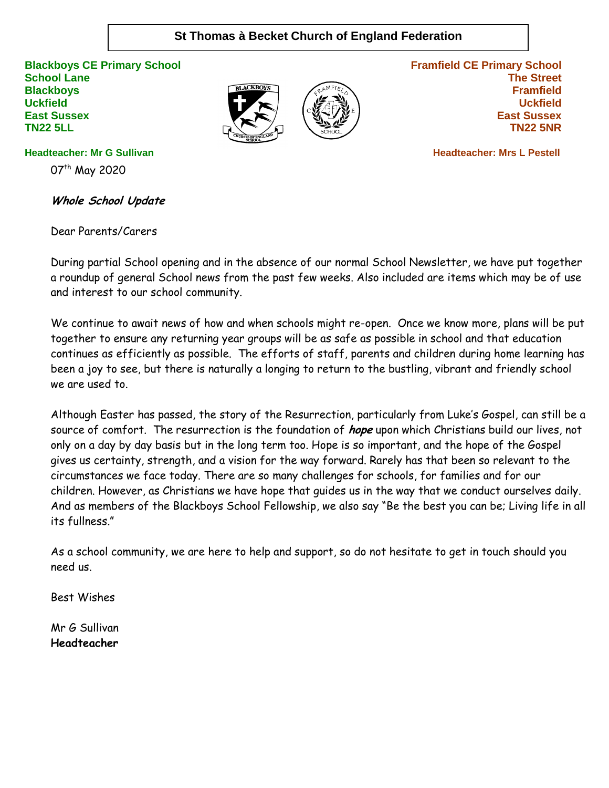# **St Thomas à Becket Church of England Federation**

**Blackboys CE Primary School School Lane Blackboys Uckfield East Sussex TN22 5LL**





**Framfield CE Primary School The Street Framfield Uckfield East Sussex TN22 5NR**

 **Headteacher: Mrs L Pestell** 

**Headteacher: Mr G Sullivan**

07<sup>th</sup> May 2020

**Whole School Update**

Dear Parents/Carers

During partial School opening and in the absence of our normal School Newsletter, we have put together a roundup of general School news from the past few weeks. Also included are items which may be of use and interest to our school community.

We continue to await news of how and when schools might re-open. Once we know more, plans will be put together to ensure any returning year groups will be as safe as possible in school and that education continues as efficiently as possible. The efforts of staff, parents and children during home learning has been a joy to see, but there is naturally a longing to return to the bustling, vibrant and friendly school we are used to.

Although Easter has passed, the story of the Resurrection, particularly from Luke's Gospel, can still be a source of comfort. The resurrection is the foundation of **hope** upon which Christians build our lives, not only on a day by day basis but in the long term too. Hope is so important, and the hope of the Gospel gives us certainty, strength, and a vision for the way forward. Rarely has that been so relevant to the circumstances we face today. There are so many challenges for schools, for families and for our children. However, as Christians we have hope that guides us in the way that we conduct ourselves daily. And as members of the Blackboys School Fellowship, we also say "Be the best you can be; Living life in all its fullness."

As a school community, we are here to help and support, so do not hesitate to get in touch should you need us.

Best Wishes

Mr G Sullivan **Headteacher**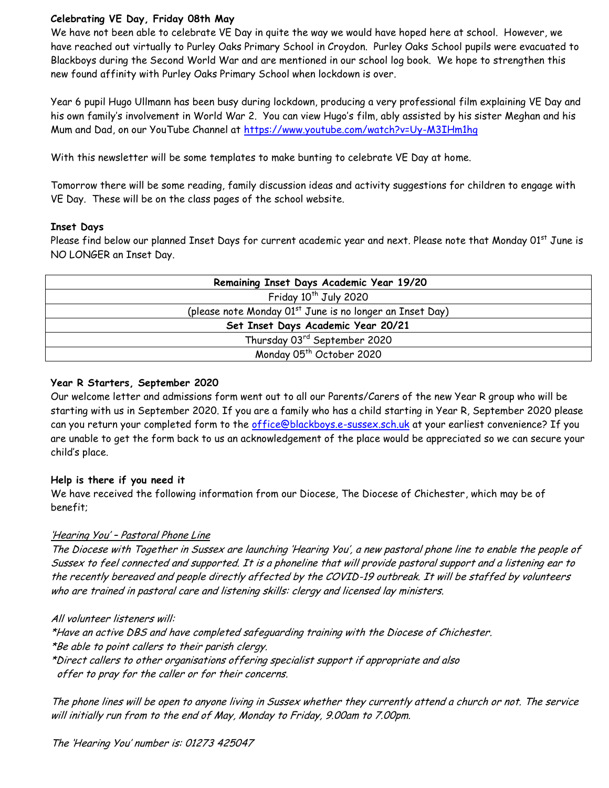## **Celebrating VE Day, Friday 08th May**

We have not been able to celebrate VE Day in quite the way we would have hoped here at school. However, we have reached out virtually to Purley Oaks Primary School in Croydon. Purley Oaks School pupils were evacuated to Blackboys during the Second World War and are mentioned in our school log book. We hope to strengthen this new found affinity with Purley Oaks Primary School when lockdown is over.

Year 6 pupil Hugo Ullmann has been busy during lockdown, producing a very professional film explaining VE Day and his own family's involvement in World War 2. You can view Hugo's film, ably assisted by his sister Meghan and his Mum and Dad, on our YouTube Channel at<https://www.youtube.com/watch?v=Uy-M3IHm1hg>

With this newsletter will be some templates to make bunting to celebrate VE Day at home.

Tomorrow there will be some reading, family discussion ideas and activity suggestions for children to engage with VE Day. These will be on the class pages of the school website.

### **Inset Days**

Please find below our planned Inset Days for current academic year and next. Please note that Monday 01st June is NO LONGER an Inset Day.

| Remaining Inset Days Academic Year 19/20                             |
|----------------------------------------------------------------------|
| Friday 10 <sup>th</sup> July 2020                                    |
| (please note Monday 01 <sup>st</sup> June is no longer an Inset Day) |
| Set Inset Days Academic Year 20/21                                   |
| Thursday 03rd September 2020                                         |
| Monday 05 <sup>th</sup> October 2020                                 |

#### **Year R Starters, September 2020**

Our welcome letter and admissions form went out to all our Parents/Carers of the new Year R group who will be starting with us in September 2020. If you are a family who has a child starting in Year R, September 2020 please can you return your completed form to the [office@blackboys.e-sussex.sch.uk](mailto:office@blackboys.e-sussex.sch.uk) at your earliest convenience? If you are unable to get the form back to us an acknowledgement of the place would be appreciated so we can secure your child's place.

#### **Help is there if you need it**

We have received the following information from our Diocese, The Diocese of Chichester, which may be of benefit;

## 'Hearing You' – Pastoral Phone Line

The Diocese with Together in Sussex are launching 'Hearing You', a new pastoral phone line to enable the people of Sussex to feel connected and supported. It is a phoneline that will provide pastoral support and a listening ear to the recently bereaved and people directly affected by the COVID-19 outbreak. It will be staffed by volunteers who are trained in pastoral care and listening skills: clergy and licensed lay ministers.

#### All volunteer listeners will:

\*Have an active DBS and have completed safeguarding training with the Diocese of Chichester. \*Be able to point callers to their parish clergy. \*Direct callers to other organisations offering specialist support if appropriate and also offer to pray for the caller or for their concerns.

The phone lines will be open to anyone living in Sussex whether they currently attend a church or not. The service will initially run from to the end of May, Monday to Friday, 9.00am to 7.00pm.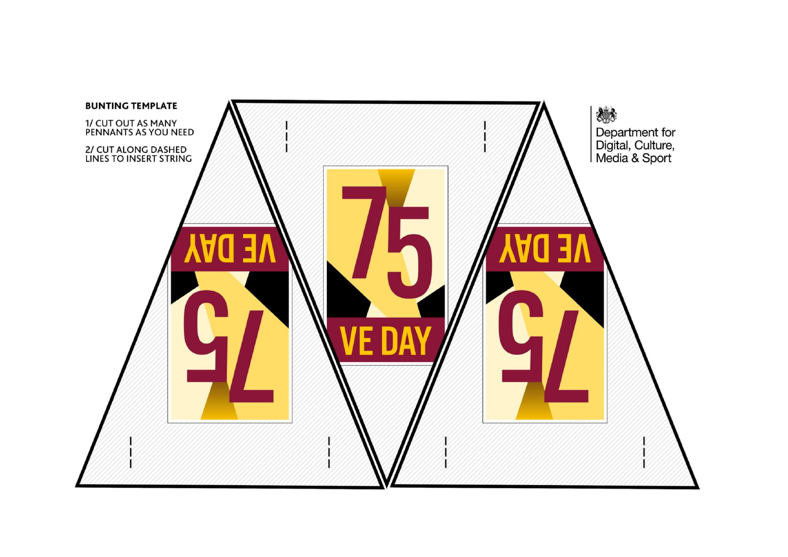